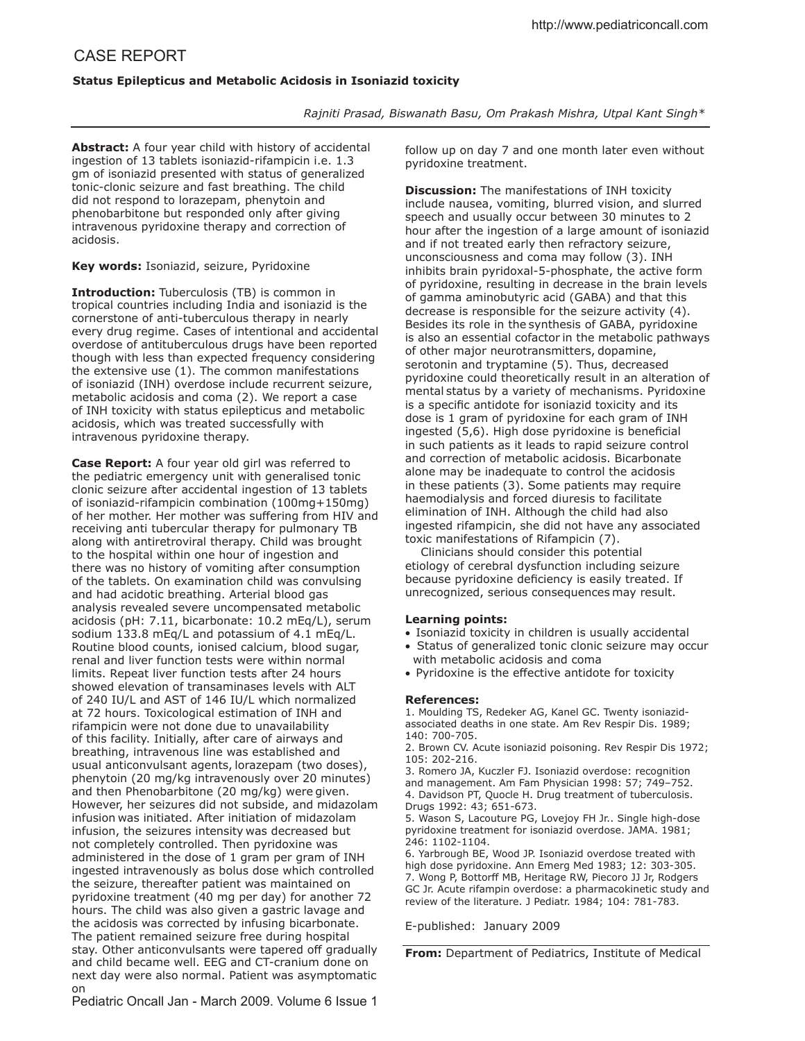## CASE REPORT

## **Status Epilepticus and Metabolic Acidosis in Isoniazid toxicity**

*Rajniti Prasad, Biswanath Basu, Om Prakash Mishra, Utpal Kant Singh\**

**Abstract:** A four year child with history of accidental ingestion of 13 tablets isoniazid-rifampicin i.e. 1.3 gm of isoniazid presented with status of generalized tonic-clonic seizure and fast breathing. The child did not respond to lorazepam, phenytoin and phenobarbitone but responded only after giving intravenous pyridoxine therapy and correction of acidosis.

**Key words:** Isoniazid, seizure, Pyridoxine

**Introduction:** Tuberculosis (TB) is common in tropical countries including India and isoniazid is the cornerstone of anti-tuberculous therapy in nearly every drug regime. Cases of intentional and accidental overdose of antituberculous drugs have been reported though with less than expected frequency considering the extensive use (1). The common manifestations of isoniazid (INH) overdose include recurrent seizure, metabolic acidosis and coma (2). We report a case of INH toxicity with status epilepticus and metabolic acidosis, which was treated successfully with intravenous pyridoxine therapy.

**Case Report:** A four year old girl was referred to the pediatric emergency unit with generalised tonic clonic seizure after accidental ingestion of 13 tablets of isoniazid-rifampicin combination (100mg+150mg) of her mother. Her mother was sufering from HIV and receiving anti tubercular therapy for pulmonary TB along with antiretroviral therapy. Child was brought to the hospital within one hour of ingestion and there was no history of vomiting after consumption of the tablets. On examination child was convulsing and had acidotic breathing. Arterial blood gas analysis revealed severe uncompensated metabolic acidosis (pH: 7.11, bicarbonate: 10.2 mEq/L), serum sodium 133.8 mEq/L and potassium of 4.1 mEq/L. Routine blood counts, ionised calcium, blood sugar, renal and liver function tests were within normal limits. Repeat liver function tests after 24 hours showed elevation of transaminases levels with ALT of 240 IU/L and AST of 146 IU/L which normalized at 72 hours. Toxicological estimation of INH and rifampicin were not done due to unavailability of this facility. Initially, after care of airways and breathing, intravenous line was established and usual anticonvulsant agents, lorazepam (two doses), phenytoin (20 mg/kg intravenously over 20 minutes) and then Phenobarbitone (20 mg/kg) were given. However, her seizures did not subside, and midazolam infusion was initiated. After initiation of midazolam infusion, the seizures intensity was decreased but not completely controlled. Then pyridoxine was administered in the dose of 1 gram per gram of INH ingested intravenously as bolus dose which controlled the seizure, thereafter patient was maintained on pyridoxine treatment (40 mg per day) for another 72 hours. The child was also given a gastric lavage and the acidosis was corrected by infusing bicarbonate. The patient remained seizure free during hospital stay. Other anticonvulsants were tapered off gradually and child became well. EEG and CT-cranium done on next day were also normal. Patient was asymptomatic on

follow up on day 7 and one month later even without pyridoxine treatment.

**Discussion:** The manifestations of INH toxicity include nausea, vomiting, blurred vision, and slurred speech and usually occur between 30 minutes to 2 hour after the ingestion of a large amount of isoniazid and if not treated early then refractory seizure, unconsciousness and coma may follow (3). INH inhibits brain pyridoxal-5-phosphate, the active form of pyridoxine, resulting in decrease in the brain levels of gamma aminobutyric acid (GABA) and that this decrease is responsible for the seizure activity (4). Besides its role in the synthesis of GABA, pyridoxine is also an essential cofactor in the metabolic pathways of other major neurotransmitters, dopamine, serotonin and tryptamine (5). Thus, decreased pyridoxine could theoretically result in an alteration of mental status by a variety of mechanisms. Pyridoxine is a specific antidote for isoniazid toxicity and its dose is 1 gram of pyridoxine for each gram of INH ingested (5,6). High dose pyridoxine is beneficial in such patients as it leads to rapid seizure control and correction of metabolic acidosis. Bicarbonate alone may be inadequate to control the acidosis in these patients (3). Some patients may require haemodialysis and forced diuresis to facilitate elimination of INH. Although the child had also ingested rifampicin, she did not have any associated toxic manifestations of Rifampicin (7).

 Clinicians should consider this potential etiology of cerebral dysfunction including seizure because pyridoxine deficiency is easily treated. If unrecognized, serious consequences may result.

## **Learning points:**

- Isoniazid toxicity in children is usually accidental
- Status of generalized tonic clonic seizure may occur with metabolic acidosis and coma
- Pyridoxine is the efective antidote for toxicity

## **References:**

1. Moulding TS, Redeker AG, Kanel GC. Twenty isoniazidassociated deaths in one state. Am Rev Respir Dis. 1989; 140: 700-705.

2. Brown CV. Acute isoniazid poisoning. Rev Respir Dis 1972; 105: 202-216.

3. Romero JA, Kuczler FJ. Isoniazid overdose: recognition and management. Am Fam Physician 1998: 57; 749–752. 4. Davidson PT, Quocle H. Drug treatment of tuberculosis. Drugs 1992: 43; 651-673.

5. Wason S, Lacouture PG, Lovejoy FH Jr.. Single high-dose pyridoxine treatment for isoniazid overdose. JAMA. 1981; 246: 1102-1104.

6. Yarbrough BE, Wood JP. Isoniazid overdose treated with high dose pyridoxine. Ann Emerg Med 1983; 12: 303-305. 7. Wong P, Bottorff MB, Heritage RW, Piecoro JJ Jr, Rodgers GC Jr. Acute rifampin overdose: a pharmacokinetic study and review of the literature. J Pediatr. 1984; 104: 781-783.

E-published: January 2009

**From:** Department of Pediatrics, Institute of Medical

Pediatric Oncall Jan - March 2009. Volume 6 Issue 1